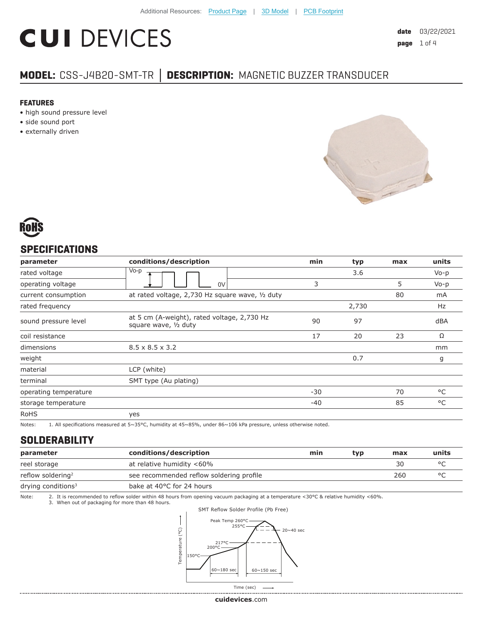# **CUI DEVICES**

# **MODEL:** CSS-J4B20-SMT-TR **│ DESCRIPTION:** MAGNETIC BUZZER TRANSDUCER

#### **FEATURES**

- high sound pressure level
- side sound port
- externally driven





# **SPECIFICATIONS**

| parameter             | conditions/description                                               | min   | typ   | max | units     |
|-----------------------|----------------------------------------------------------------------|-------|-------|-----|-----------|
| rated voltage         | Vo-p                                                                 |       | 3.6   |     | $Vo-p$    |
| operating voltage     | 0V                                                                   | 3     |       | 5   | $V_0 - p$ |
| current consumption   | at rated voltage, 2,730 Hz square wave, 1/2 duty                     |       |       | 80  | mA        |
| rated frequency       |                                                                      |       | 2,730 |     | Hz        |
| sound pressure level  | at 5 cm (A-weight), rated voltage, 2,730 Hz<br>square wave, 1/2 duty | 90    | 97    |     | dBA       |
| coil resistance       |                                                                      | 17    | 20    | 23  | Ω         |
| dimensions            | $8.5 \times 8.5 \times 3.2$                                          |       |       |     | mm        |
| weight                |                                                                      |       | 0.7   |     | g         |
| material              | LCP (white)                                                          |       |       |     |           |
| terminal              | SMT type (Au plating)                                                |       |       |     |           |
| operating temperature |                                                                      | $-30$ |       | 70  | °C        |
| storage temperature   |                                                                      | -40   |       | 85  | °C        |
| <b>RoHS</b>           | yes                                                                  |       |       |     |           |

Notes: 1. All specifications measured at 5~35°C, humidity at 45~85%, under 86~106 kPa pressure, unless otherwise noted.

# **SOLDERABILITY**

| parameter                     | conditions/description                   | min | typ | max | units |
|-------------------------------|------------------------------------------|-----|-----|-----|-------|
| reel storage                  | at relative humidity <60%                |     |     | 30  |       |
| reflow soldering <sup>2</sup> | see recommended reflow soldering profile |     |     | 260 |       |
| drying conditions $3$         | bake at 40°C for 24 hours                |     |     |     |       |

Note: 2. It is recommended to reflow solder within 48 hours from opening vacuum packaging at a temperature <30°C & relative humidity <60%.<br>3. When out of packaging for more than 48 hours.



. . . . . . . . .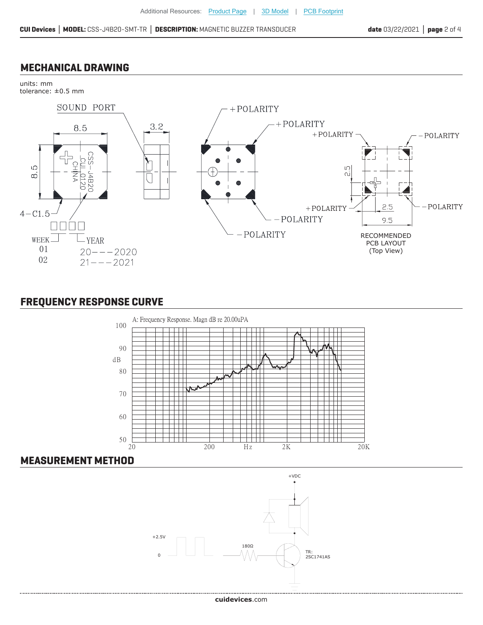#### **MECHANICAL DRAWING**

units: mm



# **FREQUENCY RESPONSE CURVE**



#### **MEASUREMENT METHOD**

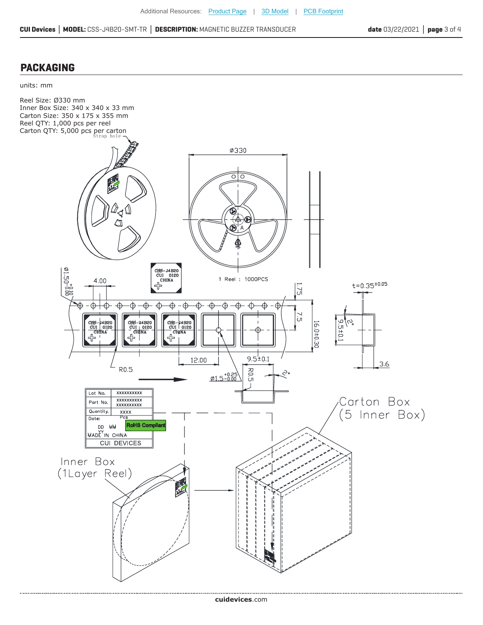#### **PACKAGING**

units: mm